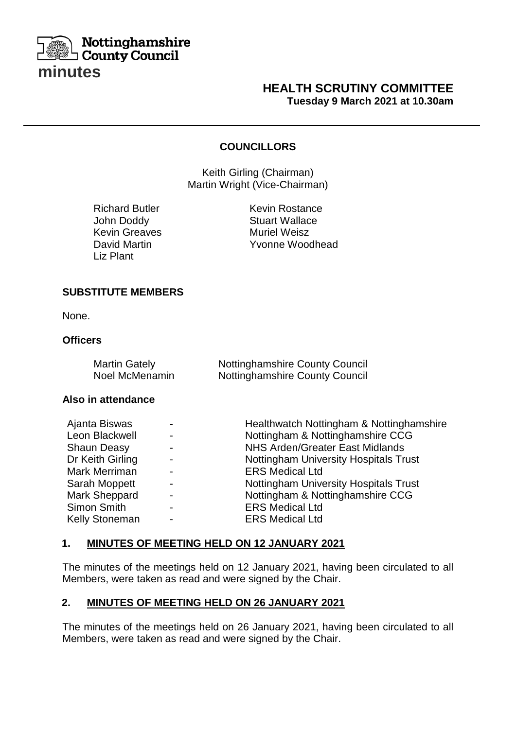

## **HEALTH SCRUTINY COMMITTEE Tuesday 9 March 2021 at 10.30am**

## **COUNCILLORS**

Keith Girling (Chairman) Martin Wright (Vice-Chairman)

| <b>Richard Butler</b> |
|-----------------------|
| John Doddy            |
| Kevin Greaves         |
| <b>David Martin</b>   |
| Liz Plant             |

Kevin Rostance Stuart Wallace **Muriel Weisz** Yvonne Woodhead

#### **SUBSTITUTE MEMBERS**

None.

### **Officers**

| <b>Martin Gately</b> | <b>Nottinghamshire County Council</b> |
|----------------------|---------------------------------------|
| Noel McMenamin       | <b>Nottinghamshire County Council</b> |

### **Also in attendance**

| Ajanta Biswas         | $\blacksquare$           | Healthwatch Nottingham & Nottinghamshire     |
|-----------------------|--------------------------|----------------------------------------------|
| Leon Blackwell        | $\blacksquare$           | Nottingham & Nottinghamshire CCG             |
| <b>Shaun Deasy</b>    | $\blacksquare$           | <b>NHS Arden/Greater East Midlands</b>       |
| Dr Keith Girling      | $\blacksquare$           | <b>Nottingham University Hospitals Trust</b> |
| Mark Merriman         | $\blacksquare$           | <b>ERS Medical Ltd</b>                       |
| Sarah Moppett         | $\blacksquare$           | <b>Nottingham University Hospitals Trust</b> |
| Mark Sheppard         | $\blacksquare$           | Nottingham & Nottinghamshire CCG             |
| Simon Smith           | $\overline{\phantom{0}}$ | <b>ERS Medical Ltd</b>                       |
| <b>Kelly Stoneman</b> | $\blacksquare$           | <b>ERS Medical Ltd</b>                       |

#### **1. MINUTES OF MEETING HELD ON 12 JANUARY 2021**

The minutes of the meetings held on 12 January 2021, having been circulated to all Members, were taken as read and were signed by the Chair.

## **2. MINUTES OF MEETING HELD ON 26 JANUARY 2021**

The minutes of the meetings held on 26 January 2021, having been circulated to all Members, were taken as read and were signed by the Chair.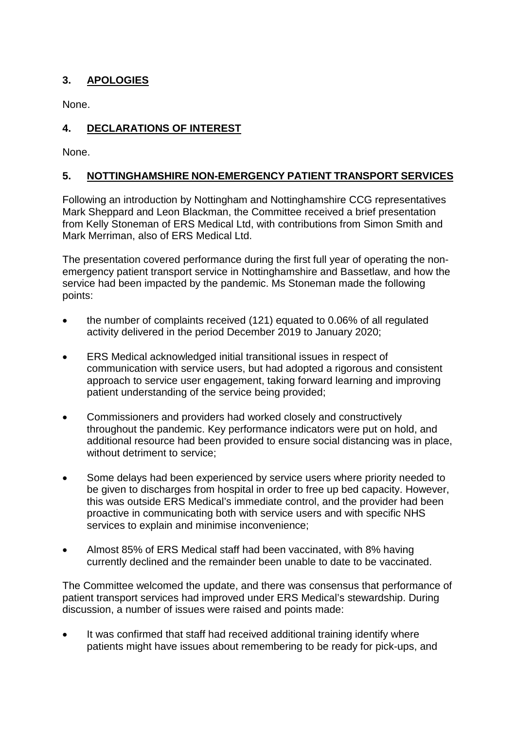# **3. APOLOGIES**

None.

# **4. DECLARATIONS OF INTEREST**

None.

# **5. NOTTINGHAMSHIRE NON-EMERGENCY PATIENT TRANSPORT SERVICES**

Following an introduction by Nottingham and Nottinghamshire CCG representatives Mark Sheppard and Leon Blackman, the Committee received a brief presentation from Kelly Stoneman of ERS Medical Ltd, with contributions from Simon Smith and Mark Merriman, also of ERS Medical Ltd.

The presentation covered performance during the first full year of operating the nonemergency patient transport service in Nottinghamshire and Bassetlaw, and how the service had been impacted by the pandemic. Ms Stoneman made the following points:

- the number of complaints received (121) equated to 0.06% of all regulated activity delivered in the period December 2019 to January 2020;
- ERS Medical acknowledged initial transitional issues in respect of communication with service users, but had adopted a rigorous and consistent approach to service user engagement, taking forward learning and improving patient understanding of the service being provided;
- Commissioners and providers had worked closely and constructively throughout the pandemic. Key performance indicators were put on hold, and additional resource had been provided to ensure social distancing was in place, without detriment to service;
- Some delays had been experienced by service users where priority needed to be given to discharges from hospital in order to free up bed capacity. However, this was outside ERS Medical's immediate control, and the provider had been proactive in communicating both with service users and with specific NHS services to explain and minimise inconvenience;
- Almost 85% of ERS Medical staff had been vaccinated, with 8% having currently declined and the remainder been unable to date to be vaccinated.

The Committee welcomed the update, and there was consensus that performance of patient transport services had improved under ERS Medical's stewardship. During discussion, a number of issues were raised and points made:

It was confirmed that staff had received additional training identify where patients might have issues about remembering to be ready for pick-ups, and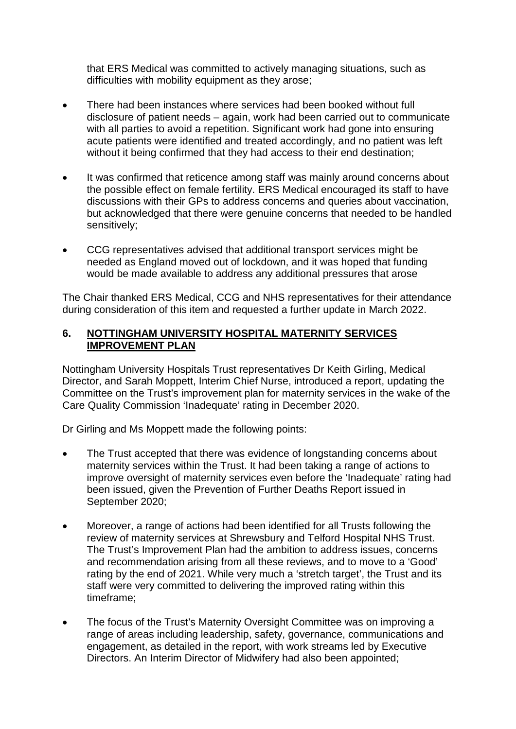that ERS Medical was committed to actively managing situations, such as difficulties with mobility equipment as they arose;

- There had been instances where services had been booked without full disclosure of patient needs – again, work had been carried out to communicate with all parties to avoid a repetition. Significant work had gone into ensuring acute patients were identified and treated accordingly, and no patient was left without it being confirmed that they had access to their end destination;
- It was confirmed that reticence among staff was mainly around concerns about the possible effect on female fertility. ERS Medical encouraged its staff to have discussions with their GPs to address concerns and queries about vaccination, but acknowledged that there were genuine concerns that needed to be handled sensitively;
- CCG representatives advised that additional transport services might be needed as England moved out of lockdown, and it was hoped that funding would be made available to address any additional pressures that arose

The Chair thanked ERS Medical, CCG and NHS representatives for their attendance during consideration of this item and requested a further update in March 2022.

## **6. NOTTINGHAM UNIVERSITY HOSPITAL MATERNITY SERVICES IMPROVEMENT PLAN**

Nottingham University Hospitals Trust representatives Dr Keith Girling, Medical Director, and Sarah Moppett, Interim Chief Nurse, introduced a report, updating the Committee on the Trust's improvement plan for maternity services in the wake of the Care Quality Commission 'Inadequate' rating in December 2020.

Dr Girling and Ms Moppett made the following points:

- The Trust accepted that there was evidence of longstanding concerns about maternity services within the Trust. It had been taking a range of actions to improve oversight of maternity services even before the 'Inadequate' rating had been issued, given the Prevention of Further Deaths Report issued in September 2020;
- Moreover, a range of actions had been identified for all Trusts following the review of maternity services at Shrewsbury and Telford Hospital NHS Trust. The Trust's Improvement Plan had the ambition to address issues, concerns and recommendation arising from all these reviews, and to move to a 'Good' rating by the end of 2021. While very much a 'stretch target', the Trust and its staff were very committed to delivering the improved rating within this timeframe;
- The focus of the Trust's Maternity Oversight Committee was on improving a range of areas including leadership, safety, governance, communications and engagement, as detailed in the report, with work streams led by Executive Directors. An Interim Director of Midwifery had also been appointed;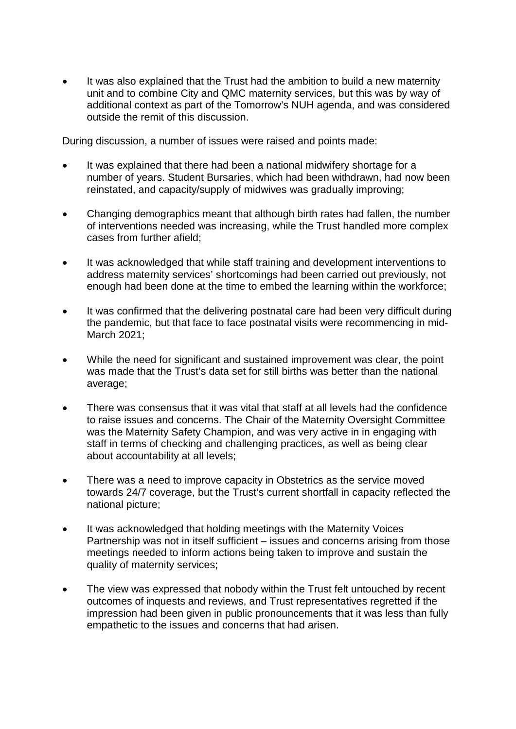It was also explained that the Trust had the ambition to build a new maternity unit and to combine City and QMC maternity services, but this was by way of additional context as part of the Tomorrow's NUH agenda, and was considered outside the remit of this discussion.

During discussion, a number of issues were raised and points made:

- It was explained that there had been a national midwifery shortage for a number of years. Student Bursaries, which had been withdrawn, had now been reinstated, and capacity/supply of midwives was gradually improving;
- Changing demographics meant that although birth rates had fallen, the number of interventions needed was increasing, while the Trust handled more complex cases from further afield;
- It was acknowledged that while staff training and development interventions to address maternity services' shortcomings had been carried out previously, not enough had been done at the time to embed the learning within the workforce;
- It was confirmed that the delivering postnatal care had been very difficult during the pandemic, but that face to face postnatal visits were recommencing in mid-March 2021;
- While the need for significant and sustained improvement was clear, the point was made that the Trust's data set for still births was better than the national average;
- There was consensus that it was vital that staff at all levels had the confidence to raise issues and concerns. The Chair of the Maternity Oversight Committee was the Maternity Safety Champion, and was very active in in engaging with staff in terms of checking and challenging practices, as well as being clear about accountability at all levels;
- There was a need to improve capacity in Obstetrics as the service moved towards 24/7 coverage, but the Trust's current shortfall in capacity reflected the national picture;
- It was acknowledged that holding meetings with the Maternity Voices Partnership was not in itself sufficient – issues and concerns arising from those meetings needed to inform actions being taken to improve and sustain the quality of maternity services;
- The view was expressed that nobody within the Trust felt untouched by recent outcomes of inquests and reviews, and Trust representatives regretted if the impression had been given in public pronouncements that it was less than fully empathetic to the issues and concerns that had arisen.